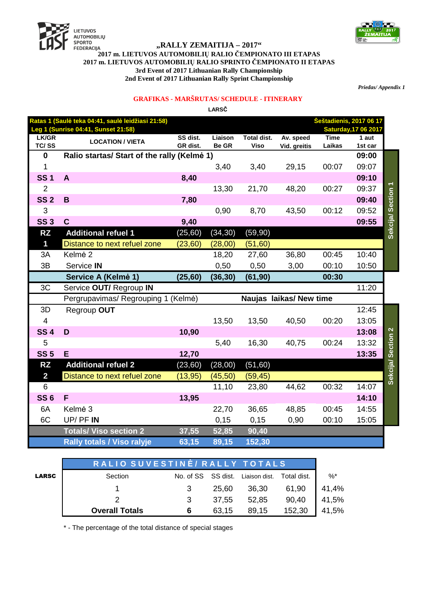



## "RALLY ŽEMAITIJA – 2017"<br>2017 m. LIETUVOS AUTOMOBILIŲ RALIO ČEMPIONATO III ETAPAS 2017 m. LIETUVOS AUTOMOBILIŲ RALIO SPRINTO ČEMPIONATO II ETAPAS 3rd Event of 2017 Lithuanian Rally Championship 2nd Event of 2017 Lithuanian Rally Sprint Championship

Priedas/Appendix 1

## **GRAFIKAS - MARŠRUTAS/ SCHEDULE - ITINERARY**

LARSČ

| <b>Šeštadienis, 2017 06 17</b><br>Ratas 1 (Saulė teka 04:41, saulė leidžiasi 21:58) |                                             |                      |                         |                                   |                           |                       |                             |                    |
|-------------------------------------------------------------------------------------|---------------------------------------------|----------------------|-------------------------|-----------------------------------|---------------------------|-----------------------|-----------------------------|--------------------|
|                                                                                     | Leg 1 (Sunrise 04:41, Sunset 21:58)         |                      |                         |                                   |                           |                       | <b>Saturday, 17 06 2017</b> |                    |
| LK/GR<br>TC/SS                                                                      | <b>LOCATION / VIETA</b>                     | SS dist.<br>GR dist. | Liaison<br><b>Be GR</b> | <b>Total dist.</b><br><b>Viso</b> | Av. speed<br>Vid. greitis | <b>Time</b><br>Laikas | 1 aut<br>1st car            |                    |
| $\mathbf 0$                                                                         | Ralio startas/ Start of the rally (Kelme 1) |                      |                         |                                   |                           |                       | 09:00                       |                    |
| 1                                                                                   |                                             |                      | 3,40                    | 3,40                              | 29,15                     | 00:07                 | 09:07                       |                    |
| <b>SS1</b>                                                                          | A                                           | 8,40                 |                         |                                   |                           |                       | 09:10                       |                    |
| $\overline{2}$                                                                      |                                             |                      | 13,30                   | 21,70                             | 48,20                     | 00:27                 | 09:37                       |                    |
| <b>SS 2</b>                                                                         | $\mathbf B$                                 | 7,80                 |                         |                                   |                           |                       | 09:40                       |                    |
| 3                                                                                   |                                             |                      | 0,90                    | 8,70                              | 43,50                     | 00:12                 | 09:52                       |                    |
| <b>SS3</b>                                                                          | $\mathbf c$                                 | 9,40                 |                         |                                   |                           |                       | 09:55                       | Sekcija/ Section 1 |
| <b>RZ</b>                                                                           | <b>Additional refuel 1</b>                  | (25, 60)             | (34, 30)                | (59, 90)                          |                           |                       |                             |                    |
| 1                                                                                   | Distance to next refuel zone                | (23, 60)             | (28,00)                 | (51, 60)                          |                           |                       |                             |                    |
| 3A                                                                                  | Kelmė <sub>2</sub>                          |                      | 18,20                   | 27,60                             | 36,80                     | 00:45                 | 10:40                       |                    |
| 3B                                                                                  | Service IN                                  |                      | 0,50                    | 0,50                              | 3,00                      | 00:10                 | 10:50                       |                    |
|                                                                                     | Service A (Kelmė 1)                         | (25, 60)             | (36, 30)                | (61, 90)                          |                           | 00:30                 |                             |                    |
|                                                                                     |                                             |                      |                         |                                   |                           |                       |                             |                    |
| 3C                                                                                  | Service OUT/ Regroup IN                     |                      |                         |                                   |                           |                       | 11:20                       |                    |
|                                                                                     | Pergrupavimas/ Regrouping 1 (Kelmė)         |                      |                         |                                   | Naujas laikas/ New time   |                       |                             |                    |
| 3D                                                                                  | Regroup OUT                                 |                      |                         |                                   |                           |                       | 12:45                       |                    |
| $\overline{\mathbf{4}}$                                                             |                                             |                      | 13,50                   | 13,50                             | 40,50                     | 00:20                 | 13:05                       |                    |
| <b>SS4</b>                                                                          | D                                           | 10,90                |                         |                                   |                           |                       | 13:08                       |                    |
| 5                                                                                   |                                             |                      | 5,40                    | 16,30                             | 40,75                     | 00:24                 | 13:32                       |                    |
| <b>SS 5</b>                                                                         | E                                           | 12,70                |                         |                                   |                           |                       | 13:35                       |                    |
| <b>RZ</b>                                                                           | <b>Additional refuel 2</b>                  | (23, 60)             | (28,00)                 | (51, 60)                          |                           |                       |                             |                    |
| $\overline{\mathbf{2}}$                                                             | Distance to next refuel zone                | (13, 95)             | (45, 50)                | (59, 45)                          |                           |                       |                             |                    |
| $6\phantom{1}$                                                                      |                                             |                      | 11,10                   | 23,80                             | 44,62                     | 00:32                 | 14:07                       | Sekcija/ Section 2 |
| <b>SS6</b>                                                                          | F                                           | 13,95                |                         |                                   |                           |                       | 14:10                       |                    |
| 6A                                                                                  | Kelmė 3                                     |                      | 22,70                   | 36,65                             | 48,85                     | 00:45                 | 14:55                       |                    |
| 6C                                                                                  | UP/PFIN                                     |                      | 0,15                    | 0,15                              | 0,90                      | 00:10                 | 15:05                       |                    |
|                                                                                     | <b>Totals/ Viso section 2</b>               | 37,55                | 52,85                   | 90,40                             |                           |                       |                             |                    |

|              | RALIO SUVESTINĖ/ RALLY TOTALS |   |       |                                              |        |       |
|--------------|-------------------------------|---|-------|----------------------------------------------|--------|-------|
| <b>LARSC</b> | Section                       |   |       | No. of SS SS dist. Liaison dist. Total dist. |        | %*    |
|              |                               |   | 25,60 | 36,30                                        | 61,90  | 41,4% |
|              |                               | 3 | 37,55 | 52,85                                        | 90,40  | 41,5% |
|              | <b>Overall Totals</b>         |   | 63,15 | 89,15                                        | 152,30 | 41,5% |

\* - The percentage of the total distance of special stages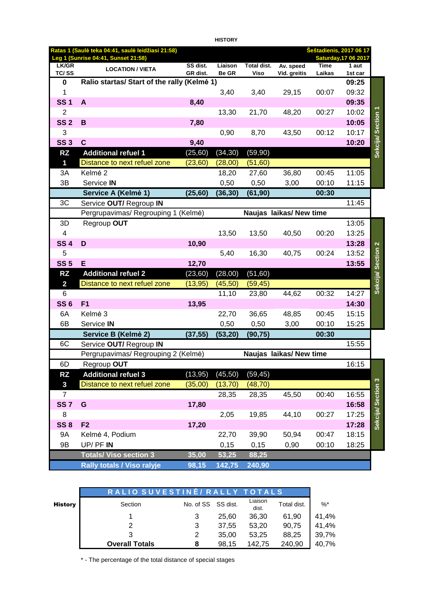|                         |                                                                                          |                      | <b>HISTORY</b>          |                     |                           |                       |                                                        |                    |
|-------------------------|------------------------------------------------------------------------------------------|----------------------|-------------------------|---------------------|---------------------------|-----------------------|--------------------------------------------------------|--------------------|
|                         | Ratas 1 (Saulė teka 04:41, saulė leidžiasi 21:58)<br>Leg 1 (Sunrise 04:41, Sunset 21:58) |                      |                         |                     |                           |                       | Šeštadienis, 2017 06 17<br><b>Saturday, 17 06 2017</b> |                    |
| LK/GR<br>TC/SS          | <b>LOCATION / VIETA</b>                                                                  | SS dist.<br>GR dist. | Liaison<br><b>Be GR</b> | Total dist.<br>Viso | Av. speed<br>Vid. greitis | <b>Time</b><br>Laikas | 1 aut<br>1st car                                       |                    |
| 0                       | Ralio startas/ Start of the rally (Kelme 1)                                              |                      |                         |                     |                           |                       | 09:25                                                  |                    |
| 1                       |                                                                                          |                      | 3,40                    | 3,40                | 29,15                     | 00:07                 | 09:32                                                  |                    |
| <b>SS1</b>              | A                                                                                        | 8,40                 |                         |                     |                           |                       | 09:35                                                  |                    |
| $\overline{2}$          |                                                                                          |                      | 13,30                   | 21,70               | 48,20                     | 00:27                 | 10:02                                                  |                    |
| <b>SS 2</b>             | B                                                                                        | 7,80                 |                         |                     |                           |                       | 10:05                                                  |                    |
| 3                       |                                                                                          |                      | 0,90                    | 8,70                | 43,50                     | 00:12                 | 10:17                                                  |                    |
| <b>SS 3</b>             | $\mathbf c$                                                                              | 9,40                 |                         |                     |                           |                       | 10:20                                                  | Sekcija/ Section 1 |
| <b>RZ</b>               | <b>Additional refuel 1</b>                                                               | (25, 60)             | (34, 30)                | (59, 90)            |                           |                       |                                                        |                    |
| $\mathbf 1$             | Distance to next refuel zone                                                             | (23, 60)             | (28,00)                 | (51,60)             |                           |                       |                                                        |                    |
| 3A                      | Kelmė 2                                                                                  |                      | 18,20                   | 27,60               | 36,80                     | 00:45                 | 11:05                                                  |                    |
| 3B                      | Service IN                                                                               |                      | 0,50                    | 0,50                | 3,00                      | 00:10                 | 11:15                                                  |                    |
|                         | Service A (Kelmė 1)                                                                      | (25, 60)             | (36, 30)                | (61, 90)            |                           | 00:30                 |                                                        |                    |
| 3C                      | Service OUT/ Regroup IN                                                                  |                      |                         |                     |                           |                       | 11:45                                                  |                    |
|                         | Pergrupavimas/ Regrouping 1 (Kelmė)                                                      |                      |                         |                     | Naujas laikas/ New time   |                       |                                                        |                    |
| 3D                      | Regroup OUT                                                                              |                      |                         |                     |                           |                       | 13:05                                                  |                    |
| 4                       |                                                                                          |                      | 13,50                   | 13,50               | 40,50                     | 00:20                 | 13:25                                                  |                    |
| <b>SS4</b>              | D                                                                                        | 10,90                |                         |                     |                           |                       | 13:28                                                  |                    |
| 5                       |                                                                                          |                      | 5,40                    | 16,30               | 40,75                     | 00:24                 | 13:52                                                  |                    |
| <b>SS 5</b>             | Е                                                                                        | 12,70                |                         |                     |                           |                       | 13:55                                                  |                    |
| <b>RZ</b>               | <b>Additional refuel 2</b>                                                               | (23, 60)             | (28,00)                 | (51, 60)            |                           |                       |                                                        | Sekcija/ Section 2 |
| $\overline{\mathbf{2}}$ | Distance to next refuel zone                                                             | (13, 95)             | (45, 50)                | (59, 45)            |                           |                       |                                                        |                    |
| 6                       |                                                                                          |                      | 11,10                   | 23,80               | 44,62                     | 00:32                 | 14:27                                                  |                    |
| <b>SS 6</b>             | F <sub>1</sub>                                                                           | 13,95                |                         |                     |                           |                       | 14:30                                                  |                    |
| 6A                      | Kelmė 3                                                                                  |                      | 22,70                   | 36,65               | 48,85                     | 00:45                 | 15:15                                                  |                    |
| 6B                      | Service IN                                                                               |                      | 0,50                    | 0,50                | 3,00                      | 00:10                 | 15:25                                                  |                    |
|                         | Service B (Kelmė 2)                                                                      | (37, 55)             | (53, 20)                | (90, 75)            |                           | 00:30                 |                                                        |                    |
| 6C                      | Service OUT/ Regroup IN                                                                  |                      |                         |                     |                           |                       | 15:55                                                  |                    |
|                         | Pergrupavimas/ Regrouping 2 (Kelmė)                                                      |                      |                         |                     | Naujas laikas/New time    |                       |                                                        |                    |
| 6D                      | Regroup OUT                                                                              |                      |                         |                     |                           |                       | 16:15                                                  |                    |
| <b>RZ</b>               | <b>Additional refuel 3</b>                                                               | (13, 95)             | (45, 50)                | (59, 45)            |                           |                       |                                                        |                    |
| $\mathbf{3}$            | Distance to next refuel zone                                                             | (35,00)              | (13, 70)                | (48, 70)            |                           |                       |                                                        |                    |
| $\overline{7}$          |                                                                                          |                      | 28,35                   | 28,35               | 45,50                     | 00:40                 | 16:55                                                  | Sekcija/ Section 3 |
| <b>SS7</b>              | G                                                                                        | 17,80                |                         |                     |                           |                       | 16:58                                                  |                    |
| 8                       |                                                                                          |                      | 2,05                    | 19,85               | 44,10                     | 00:27                 | 17:25                                                  |                    |
| <b>SS 8</b>             | F <sub>2</sub>                                                                           | 17,20                |                         |                     |                           |                       | 17:28                                                  |                    |
| 9A                      | Kelmė 4, Podium                                                                          |                      | 22,70                   | 39,90               | 50,94                     | 00:47                 | 18:15                                                  |                    |
| 9B                      | UP/PFIN                                                                                  |                      | 0,15                    | 0,15                | 0,90                      | 00:10                 | 18:25                                                  |                    |
|                         | <b>Totals/ Viso section 3</b>                                                            | 35,00                | 53,25                   | 88,25               |                           |                       |                                                        |                    |
|                         | <b>Rally totals / Viso ralyje</b>                                                        | 98,15                | 142,75                  | 240,90              |                           |                       |                                                        |                    |

|                | RALIO SUVESTINĖ/ RALLY TOTALS |                    |       |                  |             |       |
|----------------|-------------------------------|--------------------|-------|------------------|-------------|-------|
| <b>History</b> | Section                       | No. of SS SS dist. |       | Liaison<br>dist. | Total dist. | $%^*$ |
|                |                               | 3                  | 25.60 | 36.30            | 61.90       | 41,4% |
|                | 2                             | 3                  | 37.55 | 53.20            | 90.75       | 41,4% |
|                | 3                             | 2                  | 35.00 | 53.25            | 88.25       | 39,7% |
|                | <b>Overall Totals</b>         | 8                  | 98.15 | 142.75           | 240,90      | 40,7% |

\* - The percentage of the total distance of special stages